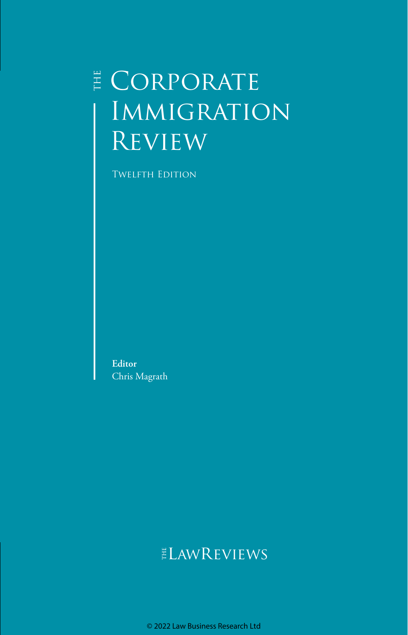## **E** CORPORATE **IMMIGRATION REVIEW**

**TWELFTH EDITION** 

**Editor** Chris Magrath

### ELAWREVIEWS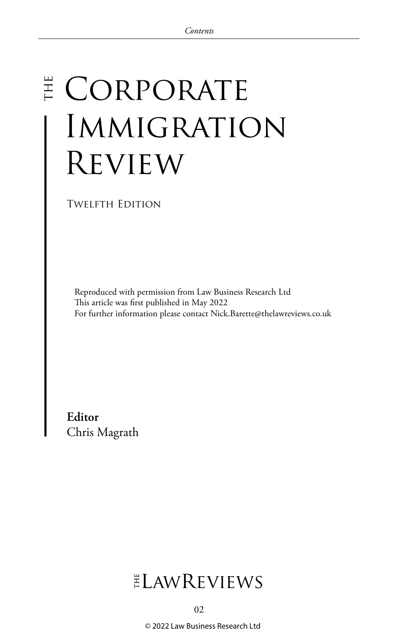# E CORPORATE Immigration Review

Twelfth Edition

Reproduced with permission from Law Business Research Ltd This article was first published in May 2022 For further information please contact Nick.Barette@thelawreviews.co.uk

**Editor** Chris Magrath

### $ELMR$  EVIEWS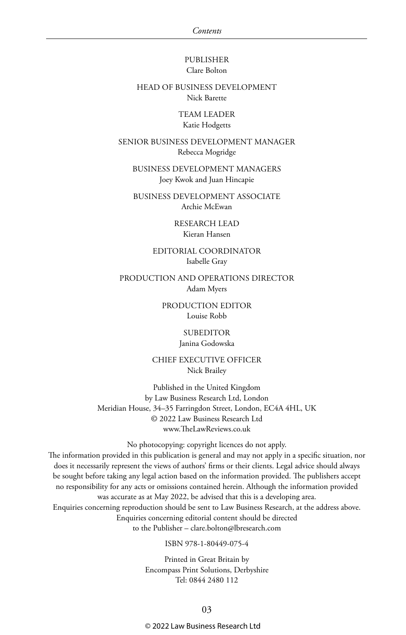#### PUBLISHER Clare Bolton

#### HEAD OF BUSINESS DEVELOPMENT Nick Barette

TEAM LEADER Katie Hodgetts

SENIOR BUSINESS DEVELOPMENT MANAGER Rebecca Mogridge

BUSINESS DEVELOPMENT MANAGERS Joey Kwok and Juan Hincapie

BUSINESS DEVELOPMENT ASSOCIATE Archie McEwan

> RESEARCH LEAD Kieran Hansen

EDITORIAL COORDINATOR Isabelle Gray

PRODUCTION AND OPERATIONS DIRECTOR Adam Myers

> PRODUCTION EDITOR Louise Robb

> > SUBEDITOR Janina Godowska

CHIEF EXECUTIVE OFFICER Nick Brailey

Published in the United Kingdom by Law Business Research Ltd, London Meridian House, 34–35 Farringdon Street, London, EC4A 4HL, UK © 2022 Law Business Research Ltd www.TheLawReviews.co.uk

No photocopying: copyright licences do not apply.

The information provided in this publication is general and may not apply in a specific situation, nor does it necessarily represent the views of authors' firms or their clients. Legal advice should always be sought before taking any legal action based on the information provided. The publishers accept no responsibility for any acts or omissions contained herein. Although the information provided was accurate as at May 2022, be advised that this is a developing area. Enquiries concerning reproduction should be sent to Law Business Research, at the address above. Enquiries concerning editorial content should be directed to the Publisher – clare.bolton@lbresearch.com

ISBN 978-1-80449-075-4

Printed in Great Britain by Encompass Print Solutions, Derbyshire Tel: 0844 2480 112

03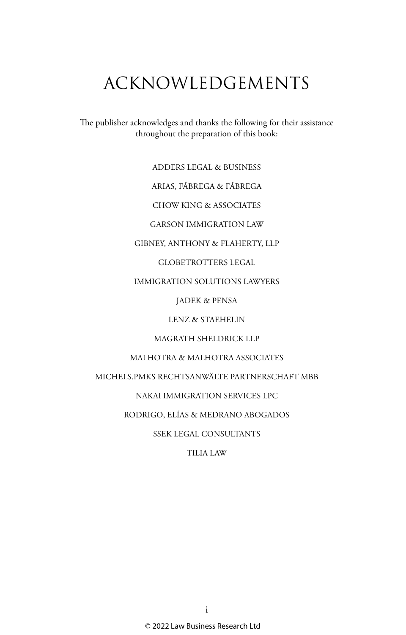### ACKNOWLEDGEMENTS

The publisher acknowledges and thanks the following for their assistance throughout the preparation of this book:

ADDERS LEGAL & BUSINESS

ARIAS, FÁBREGA & FÁBREGA

CHOW KING & ASSOCIATES

GARSON IMMIGRATION LAW

GIBNEY, ANTHONY & FLAHERTY, LLP

GLOBETROTTERS LEGAL

IMMIGRATION SOLUTIONS LAWYERS

JADEK & PENSA

LENZ & STAEHELIN

MAGRATH SHELDRICK LLP

MALHOTRA & MALHOTRA ASSOCIATES

MICHELS.PMKS RECHTSANWÄLTE PARTNERSCHAFT MBB

NAKAI IMMIGRATION SERVICES LPC

RODRIGO, ELÍAS & MEDRANO ABOGADOS

SSEK LEGAL CONSULTANTS

TILIA LAW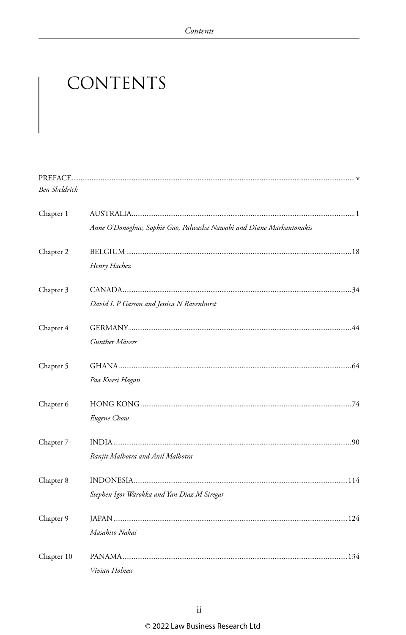### CONTENTS

| <b>Ben Sheldrick</b> |                                                                      |  |
|----------------------|----------------------------------------------------------------------|--|
|                      |                                                                      |  |
| Chapter 1            |                                                                      |  |
|                      | Anne O'Donoghue, Sophie Gao, Palwasha Nawabi and Diane Markantonakis |  |
| Chapter 2            |                                                                      |  |
|                      | Henry Hachez                                                         |  |
| Chapter 3            |                                                                      |  |
|                      | David L P Garson and Jessica N Ravenhurst                            |  |
| Chapter 4            |                                                                      |  |
|                      | Gunther Mävers                                                       |  |
|                      |                                                                      |  |
| Chapter 5            |                                                                      |  |
|                      | Paa Kwesi Hagan                                                      |  |
| Chapter 6            |                                                                      |  |
|                      | Eugene Chow                                                          |  |
| Chapter 7            |                                                                      |  |
|                      | Ranjit Malhotra and Anil Malhotra                                    |  |
|                      |                                                                      |  |
| Chapter 8            |                                                                      |  |
|                      | Stephen Igor Warokka and Yan Diaz M Siregar                          |  |
| Chapter 9            |                                                                      |  |
|                      | Masahito Nakai                                                       |  |
| Chapter 10           |                                                                      |  |
|                      | Vivian Holness                                                       |  |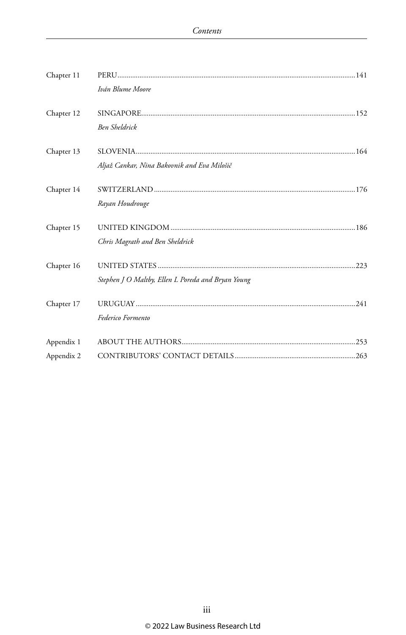| Chapter 11 | Iván Blume Moore                                   |  |
|------------|----------------------------------------------------|--|
| Chapter 12 | <b>Ben Sheldrick</b>                               |  |
| Chapter 13 | Aljaž Cankar, Nina Bakovnik and Eva Milošič        |  |
| Chapter 14 | Rayan Houdrouge                                    |  |
| Chapter 15 | Chris Magrath and Ben Sheldrick                    |  |
| Chapter 16 | Stephen J O Maltby, Ellen L Poreda and Bryan Young |  |
| Chapter 17 | Federico Formento                                  |  |
| Appendix 1 |                                                    |  |
| Appendix 2 |                                                    |  |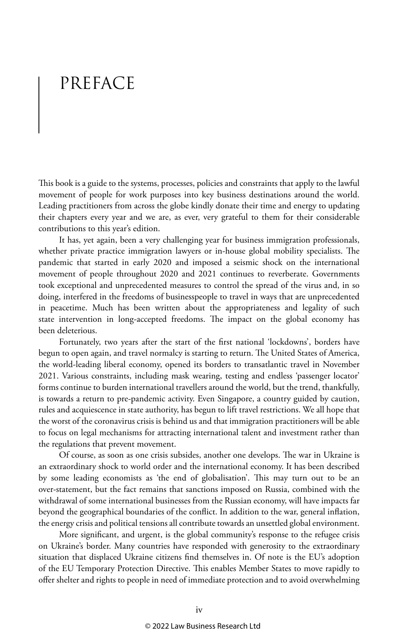### PREFACE

This book is a guide to the systems, processes, policies and constraints that apply to the lawful movement of people for work purposes into key business destinations around the world. Leading practitioners from across the globe kindly donate their time and energy to updating their chapters every year and we are, as ever, very grateful to them for their considerable contributions to this year's edition.

It has, yet again, been a very challenging year for business immigration professionals, whether private practice immigration lawyers or in-house global mobility specialists. The pandemic that started in early 2020 and imposed a seismic shock on the international movement of people throughout 2020 and 2021 continues to reverberate. Governments took exceptional and unprecedented measures to control the spread of the virus and, in so doing, interfered in the freedoms of businesspeople to travel in ways that are unprecedented in peacetime. Much has been written about the appropriateness and legality of such state intervention in long-accepted freedoms. The impact on the global economy has been deleterious.

Fortunately, two years after the start of the first national 'lockdowns', borders have begun to open again, and travel normalcy is starting to return. The United States of America, the world-leading liberal economy, opened its borders to transatlantic travel in November 2021. Various constraints, including mask wearing, testing and endless 'passenger locator' forms continue to burden international travellers around the world, but the trend, thankfully, is towards a return to pre-pandemic activity. Even Singapore, a country guided by caution, rules and acquiescence in state authority, has begun to lift travel restrictions. We all hope that the worst of the coronavirus crisis is behind us and that immigration practitioners will be able to focus on legal mechanisms for attracting international talent and investment rather than the regulations that prevent movement.

Of course, as soon as one crisis subsides, another one develops. The war in Ukraine is an extraordinary shock to world order and the international economy. It has been described by some leading economists as 'the end of globalisation'. This may turn out to be an over-statement, but the fact remains that sanctions imposed on Russia, combined with the withdrawal of some international businesses from the Russian economy, will have impacts far beyond the geographical boundaries of the conflict. In addition to the war, general inflation, the energy crisis and political tensions all contribute towards an unsettled global environment.

More significant, and urgent, is the global community's response to the refugee crisis on Ukraine's border. Many countries have responded with generosity to the extraordinary situation that displaced Ukraine citizens find themselves in. Of note is the EU's adoption of the EU Temporary Protection Directive. This enables Member States to move rapidly to offer shelter and rights to people in need of immediate protection and to avoid overwhelming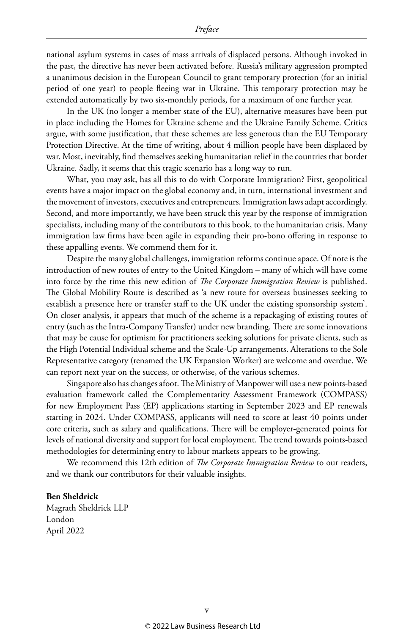national asylum systems in cases of mass arrivals of displaced persons. Although invoked in the past, the directive has never been activated before. Russia's military aggression prompted a unanimous decision in the European Council to grant temporary protection (for an initial period of one year) to people fleeing war in Ukraine. This temporary protection may be extended automatically by two six-monthly periods, for a maximum of one further year.

In the UK (no longer a member state of the EU), alternative measures have been put in place including the Homes for Ukraine scheme and the Ukraine Family Scheme. Critics argue, with some justification, that these schemes are less generous than the EU Temporary Protection Directive. At the time of writing, about 4 million people have been displaced by war. Most, inevitably, find themselves seeking humanitarian relief in the countries that border Ukraine. Sadly, it seems that this tragic scenario has a long way to run.

What, you may ask, has all this to do with Corporate Immigration? First, geopolitical events have a major impact on the global economy and, in turn, international investment and the movement of investors, executives and entrepreneurs. Immigration laws adapt accordingly. Second, and more importantly, we have been struck this year by the response of immigration specialists, including many of the contributors to this book, to the humanitarian crisis. Many immigration law firms have been agile in expanding their pro-bono offering in response to these appalling events. We commend them for it.

Despite the many global challenges, immigration reforms continue apace. Of note is the introduction of new routes of entry to the United Kingdom – many of which will have come into force by the time this new edition of *The Corporate Immigration Review* is published. The Global Mobility Route is described as 'a new route for overseas businesses seeking to establish a presence here or transfer staff to the UK under the existing sponsorship system'. On closer analysis, it appears that much of the scheme is a repackaging of existing routes of entry (such as the Intra-Company Transfer) under new branding. There are some innovations that may be cause for optimism for practitioners seeking solutions for private clients, such as the High Potential Individual scheme and the Scale-Up arrangements. Alterations to the Sole Representative category (renamed the UK Expansion Worker) are welcome and overdue. We can report next year on the success, or otherwise, of the various schemes.

Singapore also has changes afoot. The Ministry of Manpower will use a new points-based evaluation framework called the Complementarity Assessment Framework (COMPASS) for new Employment Pass (EP) applications starting in September 2023 and EP renewals starting in 2024. Under COMPASS, applicants will need to score at least 40 points under core criteria, such as salary and qualifications. There will be employer-generated points for levels of national diversity and support for local employment. The trend towards points-based methodologies for determining entry to labour markets appears to be growing.

We recommend this 12th edition of *The Corporate Immigration Review* to our readers, and we thank our contributors for their valuable insights.

#### **Ben Sheldrick**

Magrath Sheldrick LLP London April 2022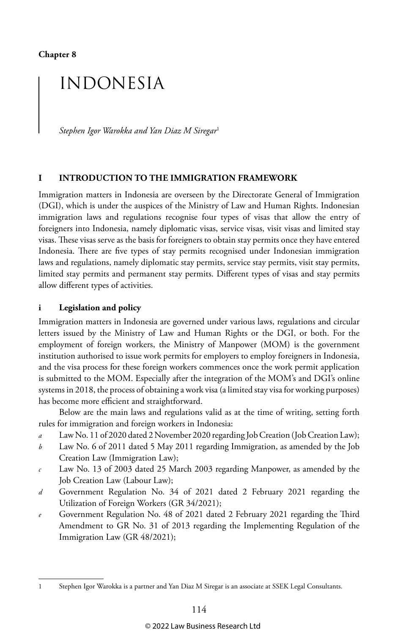**Chapter 8**

### INDONESIA

*Stephen Igor Warokka and Yan Diaz M Siregar*<sup>1</sup>

#### **I INTRODUCTION TO THE IMMIGRATION FRAMEWORK**

Immigration matters in Indonesia are overseen by the Directorate General of Immigration (DGI), which is under the auspices of the Ministry of Law and Human Rights. Indonesian immigration laws and regulations recognise four types of visas that allow the entry of foreigners into Indonesia, namely diplomatic visas, service visas, visit visas and limited stay visas. These visas serve as the basis for foreigners to obtain stay permits once they have entered Indonesia. There are five types of stay permits recognised under Indonesian immigration laws and regulations, namely diplomatic stay permits, service stay permits, visit stay permits, limited stay permits and permanent stay permits. Different types of visas and stay permits allow different types of activities.

#### **i Legislation and policy**

Immigration matters in Indonesia are governed under various laws, regulations and circular letters issued by the Ministry of Law and Human Rights or the DGI, or both. For the employment of foreign workers, the Ministry of Manpower (MOM) is the government institution authorised to issue work permits for employers to employ foreigners in Indonesia, and the visa process for these foreign workers commences once the work permit application is submitted to the MOM. Especially after the integration of the MOM's and DGI's online systems in 2018, the process of obtaining a work visa (a limited stay visa for working purposes) has become more efficient and straightforward.

Below are the main laws and regulations valid as at the time of writing, setting forth rules for immigration and foreign workers in Indonesia:

- *a* Law No. 11 of 2020 dated 2 November 2020 regarding Job Creation (Job Creation Law);
- *b* Law No. 6 of 2011 dated 5 May 2011 regarding Immigration, as amended by the Job Creation Law (Immigration Law);
- *c* Law No. 13 of 2003 dated 25 March 2003 regarding Manpower, as amended by the Job Creation Law (Labour Law);
- *d* Government Regulation No. 34 of 2021 dated 2 February 2021 regarding the Utilization of Foreign Workers (GR 34/2021);
- *e* Government Regulation No. 48 of 2021 dated 2 February 2021 regarding the Third Amendment to GR No. 31 of 2013 regarding the Implementing Regulation of the Immigration Law (GR 48/2021);

<sup>1</sup> Stephen Igor Warokka is a partner and Yan Diaz M Siregar is an associate at SSEK Legal Consultants.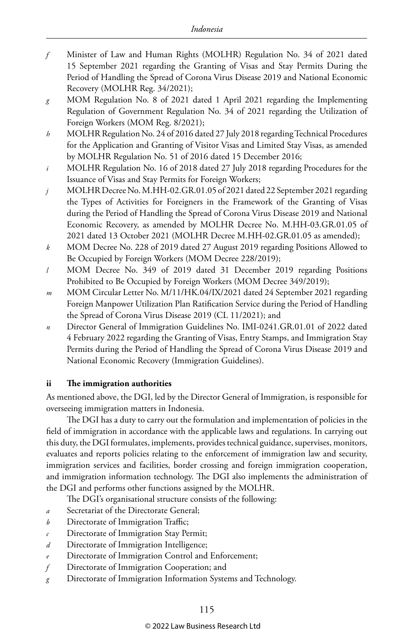- *f* Minister of Law and Human Rights (MOLHR) Regulation No. 34 of 2021 dated 15 September 2021 regarding the Granting of Visas and Stay Permits During the Period of Handling the Spread of Corona Virus Disease 2019 and National Economic Recovery (MOLHR Reg. 34/2021);
- *g* MOM Regulation No. 8 of 2021 dated 1 April 2021 regarding the Implementing Regulation of Government Regulation No. 34 of 2021 regarding the Utilization of Foreign Workers (MOM Reg. 8/2021);
- *h* MOLHR Regulation No. 24 of 2016 dated 27 July 2018 regarding Technical Procedures for the Application and Granting of Visitor Visas and Limited Stay Visas, as amended by MOLHR Regulation No. 51 of 2016 dated 15 December 2016;
- *i* MOLHR Regulation No. 16 of 2018 dated 27 July 2018 regarding Procedures for the Issuance of Visas and Stay Permits for Foreign Workers;
- *j* MOLHR Decree No. M.HH-02.GR.01.05 of 2021 dated 22 September 2021 regarding the Types of Activities for Foreigners in the Framework of the Granting of Visas during the Period of Handling the Spread of Corona Virus Disease 2019 and National Economic Recovery, as amended by MOLHR Decree No. M.HH-03.GR.01.05 of 2021 dated 13 October 2021 (MOLHR Decree M.HH-02.GR.01.05 as amended);
- *k* MOM Decree No. 228 of 2019 dated 27 August 2019 regarding Positions Allowed to Be Occupied by Foreign Workers (MOM Decree 228/2019);
- *l* MOM Decree No. 349 of 2019 dated 31 December 2019 regarding Positions Prohibited to Be Occupied by Foreign Workers (MOM Decree 349/2019);
- *m* MOM Circular Letter No. M/11/HK.04/IX/2021 dated 24 September 2021 regarding Foreign Manpower Utilization Plan Ratification Service during the Period of Handling the Spread of Corona Virus Disease 2019 (CL 11/2021); and
- *n* Director General of Immigration Guidelines No. IMI-0241.GR.01.01 of 2022 dated 4 February 2022 regarding the Granting of Visas, Entry Stamps, and Immigration Stay Permits during the Period of Handling the Spread of Corona Virus Disease 2019 and National Economic Recovery (Immigration Guidelines).

#### **ii The immigration authorities**

As mentioned above, the DGI, led by the Director General of Immigration, is responsible for overseeing immigration matters in Indonesia.

The DGI has a duty to carry out the formulation and implementation of policies in the field of immigration in accordance with the applicable laws and regulations. In carrying out this duty, the DGI formulates, implements, provides technical guidance, supervises, monitors, evaluates and reports policies relating to the enforcement of immigration law and security, immigration services and facilities, border crossing and foreign immigration cooperation, and immigration information technology. The DGI also implements the administration of the DGI and performs other functions assigned by the MOLHR.

The DGI's organisational structure consists of the following:

- *a* Secretariat of the Directorate General;
- *b* Directorate of Immigration Traffic;
- *c* Directorate of Immigration Stay Permit;
- *d* Directorate of Immigration Intelligence;
- *e* Directorate of Immigration Control and Enforcement;
- *f* Directorate of Immigration Cooperation; and
- *g* Directorate of Immigration Information Systems and Technology.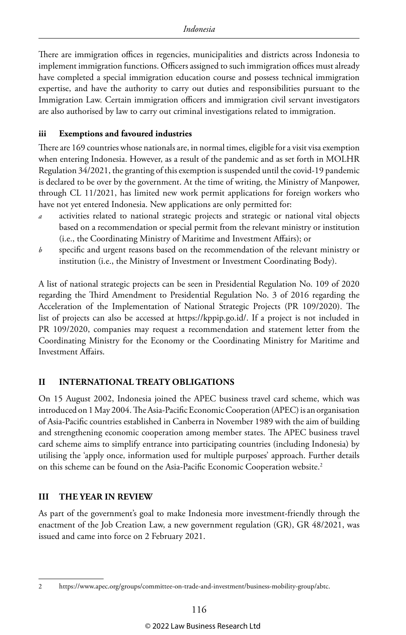There are immigration offices in regencies, municipalities and districts across Indonesia to implement immigration functions. Officers assigned to such immigration offices must already have completed a special immigration education course and possess technical immigration expertise, and have the authority to carry out duties and responsibilities pursuant to the Immigration Law. Certain immigration officers and immigration civil servant investigators are also authorised by law to carry out criminal investigations related to immigration.

#### **iii Exemptions and favoured industries**

There are 169 countries whose nationals are, in normal times, eligible for a visit visa exemption when entering Indonesia. However, as a result of the pandemic and as set forth in MOLHR Regulation 34/2021, the granting of this exemption is suspended until the covid-19 pandemic is declared to be over by the government. At the time of writing, the Ministry of Manpower, through CL 11/2021, has limited new work permit applications for foreign workers who have not yet entered Indonesia. New applications are only permitted for:

- *a* activities related to national strategic projects and strategic or national vital objects based on a recommendation or special permit from the relevant ministry or institution (i.e., the Coordinating Ministry of Maritime and Investment Affairs); or
- *b* specific and urgent reasons based on the recommendation of the relevant ministry or institution (i.e., the Ministry of Investment or Investment Coordinating Body).

A list of national strategic projects can be seen in Presidential Regulation No. 109 of 2020 regarding the Third Amendment to Presidential Regulation No. 3 of 2016 regarding the Acceleration of the Implementation of National Strategic Projects (PR 109/2020). The list of projects can also be accessed at https://kppip.go.id/. If a project is not included in PR 109/2020, companies may request a recommendation and statement letter from the Coordinating Ministry for the Economy or the Coordinating Ministry for Maritime and Investment Affairs.

#### **II INTERNATIONAL TREATY OBLIGATIONS**

On 15 August 2002, Indonesia joined the APEC business travel card scheme, which was introduced on 1 May 2004. The Asia-Pacific Economic Cooperation (APEC) is an organisation of Asia-Pacific countries established in Canberra in November 1989 with the aim of building and strengthening economic cooperation among member states. The APEC business travel card scheme aims to simplify entrance into participating countries (including Indonesia) by utilising the 'apply once, information used for multiple purposes' approach. Further details on this scheme can be found on the Asia-Pacific Economic Cooperation website.<sup>2</sup>

#### **III THE YEAR IN REVIEW**

As part of the government's goal to make Indonesia more investment-friendly through the enactment of the Job Creation Law, a new government regulation (GR), GR 48/2021, was issued and came into force on 2 February 2021.

<sup>2</sup> https://www.apec.org/groups/committee-on-trade-and-investment/business-mobility-group/abtc.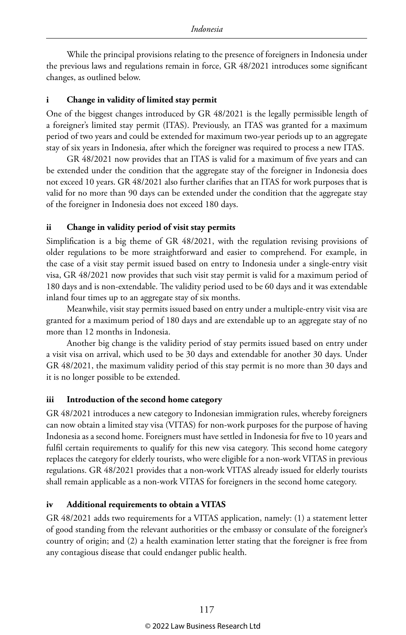While the principal provisions relating to the presence of foreigners in Indonesia under the previous laws and regulations remain in force, GR 48/2021 introduces some significant changes, as outlined below.

#### **i Change in validity of limited stay permit**

One of the biggest changes introduced by GR 48/2021 is the legally permissible length of a foreigner's limited stay permit (ITAS). Previously, an ITAS was granted for a maximum period of two years and could be extended for maximum two-year periods up to an aggregate stay of six years in Indonesia, after which the foreigner was required to process a new ITAS.

GR 48/2021 now provides that an ITAS is valid for a maximum of five years and can be extended under the condition that the aggregate stay of the foreigner in Indonesia does not exceed 10 years. GR 48/2021 also further clarifies that an ITAS for work purposes that is valid for no more than 90 days can be extended under the condition that the aggregate stay of the foreigner in Indonesia does not exceed 180 days.

#### **ii Change in validity period of visit stay permits**

Simplification is a big theme of GR 48/2021, with the regulation revising provisions of older regulations to be more straightforward and easier to comprehend. For example, in the case of a visit stay permit issued based on entry to Indonesia under a single-entry visit visa, GR 48/2021 now provides that such visit stay permit is valid for a maximum period of 180 days and is non-extendable. The validity period used to be 60 days and it was extendable inland four times up to an aggregate stay of six months.

Meanwhile, visit stay permits issued based on entry under a multiple-entry visit visa are granted for a maximum period of 180 days and are extendable up to an aggregate stay of no more than 12 months in Indonesia.

Another big change is the validity period of stay permits issued based on entry under a visit visa on arrival, which used to be 30 days and extendable for another 30 days. Under GR 48/2021, the maximum validity period of this stay permit is no more than 30 days and it is no longer possible to be extended.

#### **iii Introduction of the second home category**

GR 48/2021 introduces a new category to Indonesian immigration rules, whereby foreigners can now obtain a limited stay visa (VITAS) for non-work purposes for the purpose of having Indonesia as a second home. Foreigners must have settled in Indonesia for five to 10 years and fulfil certain requirements to qualify for this new visa category. This second home category replaces the category for elderly tourists, who were eligible for a non-work VITAS in previous regulations. GR 48/2021 provides that a non-work VITAS already issued for elderly tourists shall remain applicable as a non-work VITAS for foreigners in the second home category.

#### **iv Additional requirements to obtain a VITAS**

GR 48/2021 adds two requirements for a VITAS application, namely: (1) a statement letter of good standing from the relevant authorities or the embassy or consulate of the foreigner's country of origin; and (2) a health examination letter stating that the foreigner is free from any contagious disease that could endanger public health.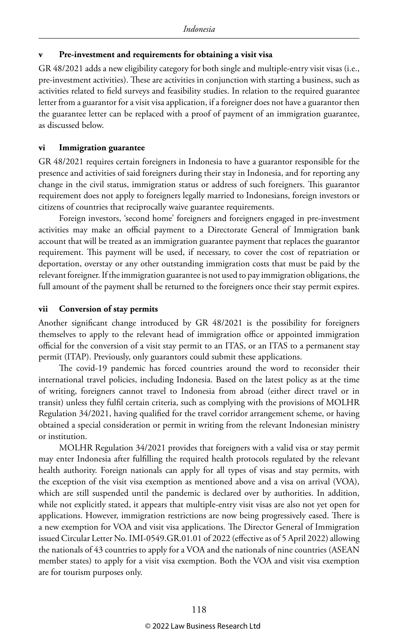#### **v Pre-investment and requirements for obtaining a visit visa**

GR 48/2021 adds a new eligibility category for both single and multiple-entry visit visas (i.e., pre-investment activities). These are activities in conjunction with starting a business, such as activities related to field surveys and feasibility studies. In relation to the required guarantee letter from a guarantor for a visit visa application, if a foreigner does not have a guarantor then the guarantee letter can be replaced with a proof of payment of an immigration guarantee, as discussed below.

#### **vi Immigration guarantee**

GR 48/2021 requires certain foreigners in Indonesia to have a guarantor responsible for the presence and activities of said foreigners during their stay in Indonesia, and for reporting any change in the civil status, immigration status or address of such foreigners. This guarantor requirement does not apply to foreigners legally married to Indonesians, foreign investors or citizens of countries that reciprocally waive guarantee requirements.

Foreign investors, 'second home' foreigners and foreigners engaged in pre-investment activities may make an official payment to a Directorate General of Immigration bank account that will be treated as an immigration guarantee payment that replaces the guarantor requirement. This payment will be used, if necessary, to cover the cost of repatriation or deportation, overstay or any other outstanding immigration costs that must be paid by the relevant foreigner. If the immigration guarantee is not used to pay immigration obligations, the full amount of the payment shall be returned to the foreigners once their stay permit expires.

#### **vii Conversion of stay permits**

Another significant change introduced by GR 48/2021 is the possibility for foreigners themselves to apply to the relevant head of immigration office or appointed immigration official for the conversion of a visit stay permit to an ITAS, or an ITAS to a permanent stay permit (ITAP). Previously, only guarantors could submit these applications.

The covid-19 pandemic has forced countries around the word to reconsider their international travel policies, including Indonesia. Based on the latest policy as at the time of writing, foreigners cannot travel to Indonesia from abroad (either direct travel or in transit) unless they fulfil certain criteria, such as complying with the provisions of MOLHR Regulation 34/2021, having qualified for the travel corridor arrangement scheme, or having obtained a special consideration or permit in writing from the relevant Indonesian ministry or institution.

MOLHR Regulation 34/2021 provides that foreigners with a valid visa or stay permit may enter Indonesia after fulfilling the required health protocols regulated by the relevant health authority. Foreign nationals can apply for all types of visas and stay permits, with the exception of the visit visa exemption as mentioned above and a visa on arrival (VOA), which are still suspended until the pandemic is declared over by authorities. In addition, while not explicitly stated, it appears that multiple-entry visit visas are also not yet open for applications. However, immigration restrictions are now being progressively eased. There is a new exemption for VOA and visit visa applications. The Director General of Immigration issued Circular Letter No. IMI-0549.GR.01.01 of 2022 (effective as of 5 April 2022) allowing the nationals of 43 countries to apply for a VOA and the nationals of nine countries (ASEAN member states) to apply for a visit visa exemption. Both the VOA and visit visa exemption are for tourism purposes only.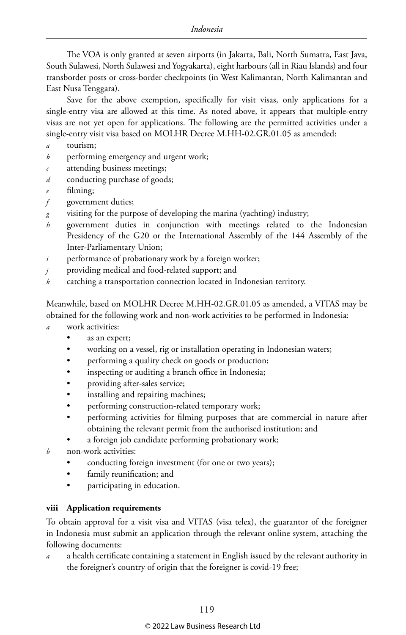The VOA is only granted at seven airports (in Jakarta, Bali, North Sumatra, East Java, South Sulawesi, North Sulawesi and Yogyakarta), eight harbours (all in Riau Islands) and four transborder posts or cross-border checkpoints (in West Kalimantan, North Kalimantan and East Nusa Tenggara).

Save for the above exemption, specifically for visit visas, only applications for a single-entry visa are allowed at this time. As noted above, it appears that multiple-entry visas are not yet open for applications. The following are the permitted activities under a single-entry visit visa based on MOLHR Decree M.HH-02.GR.01.05 as amended:

- *a* tourism;
- *b* performing emergency and urgent work;
- *c* attending business meetings;
- *d* conducting purchase of goods;
- filming;
- *f* government duties;
- *g* visiting for the purpose of developing the marina (yachting) industry;
- *h* government duties in conjunction with meetings related to the Indonesian Presidency of the G20 or the International Assembly of the 144 Assembly of the Inter-Parliamentary Union;
- *i* performance of probationary work by a foreign worker;
- *j* providing medical and food-related support; and
- *k* catching a transportation connection located in Indonesian territory.

Meanwhile, based on MOLHR Decree M.HH-02.GR.01.05 as amended, a VITAS may be obtained for the following work and non-work activities to be performed in Indonesia:

- *a* work activities:
	- as an expert;
	- working on a vessel, rig or installation operating in Indonesian waters;
	- performing a quality check on goods or production;
	- inspecting or auditing a branch office in Indonesia;
	- providing after-sales service;
	- installing and repairing machines;
	- performing construction-related temporary work;
	- performing activities for filming purposes that are commercial in nature after obtaining the relevant permit from the authorised institution; and
	- a foreign job candidate performing probationary work;
- *b* non-work activities:
	- conducting foreign investment (for one or two years);
	- family reunification; and
	- participating in education.

#### **viii Application requirements**

To obtain approval for a visit visa and VITAS (visa telex), the guarantor of the foreigner in Indonesia must submit an application through the relevant online system, attaching the following documents:

*a* a health certificate containing a statement in English issued by the relevant authority in the foreigner's country of origin that the foreigner is covid-19 free;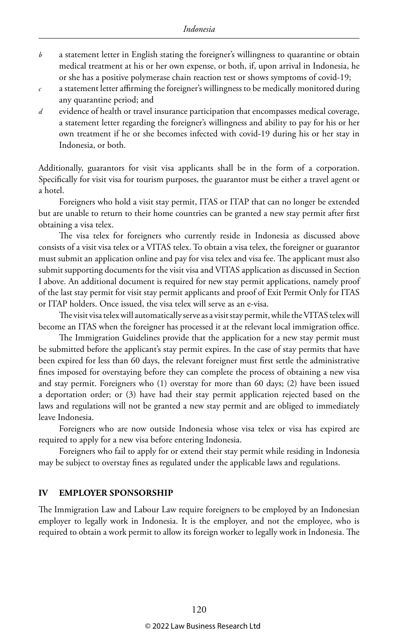- *b* a statement letter in English stating the foreigner's willingness to quarantine or obtain medical treatment at his or her own expense, or both, if, upon arrival in Indonesia, he or she has a positive polymerase chain reaction test or shows symptoms of covid-19;
- *c* a statement letter affirming the foreigner's willingness to be medically monitored during any quarantine period; and
- *d* evidence of health or travel insurance participation that encompasses medical coverage, a statement letter regarding the foreigner's willingness and ability to pay for his or her own treatment if he or she becomes infected with covid-19 during his or her stay in Indonesia, or both.

Additionally, guarantors for visit visa applicants shall be in the form of a corporation. Specifically for visit visa for tourism purposes, the guarantor must be either a travel agent or a hotel.

Foreigners who hold a visit stay permit, ITAS or ITAP that can no longer be extended but are unable to return to their home countries can be granted a new stay permit after first obtaining a visa telex.

The visa telex for foreigners who currently reside in Indonesia as discussed above consists of a visit visa telex or a VITAS telex. To obtain a visa telex, the foreigner or guarantor must submit an application online and pay for visa telex and visa fee. The applicant must also submit supporting documents for the visit visa and VITAS application as discussed in Section I above. An additional document is required for new stay permit applications, namely proof of the last stay permit for visit stay permit applicants and proof of Exit Permit Only for ITAS or ITAP holders. Once issued, the visa telex will serve as an e-visa.

The visit visa telex will automatically serve as a visit stay permit, while the VITAS telex will become an ITAS when the foreigner has processed it at the relevant local immigration office.

The Immigration Guidelines provide that the application for a new stay permit must be submitted before the applicant's stay permit expires. In the case of stay permits that have been expired for less than 60 days, the relevant foreigner must first settle the administrative fines imposed for overstaying before they can complete the process of obtaining a new visa and stay permit. Foreigners who (1) overstay for more than 60 days; (2) have been issued a deportation order; or (3) have had their stay permit application rejected based on the laws and regulations will not be granted a new stay permit and are obliged to immediately leave Indonesia.

Foreigners who are now outside Indonesia whose visa telex or visa has expired are required to apply for a new visa before entering Indonesia.

Foreigners who fail to apply for or extend their stay permit while residing in Indonesia may be subject to overstay fines as regulated under the applicable laws and regulations.

#### **IV EMPLOYER SPONSORSHIP**

The Immigration Law and Labour Law require foreigners to be employed by an Indonesian employer to legally work in Indonesia. It is the employer, and not the employee, who is required to obtain a work permit to allow its foreign worker to legally work in Indonesia. The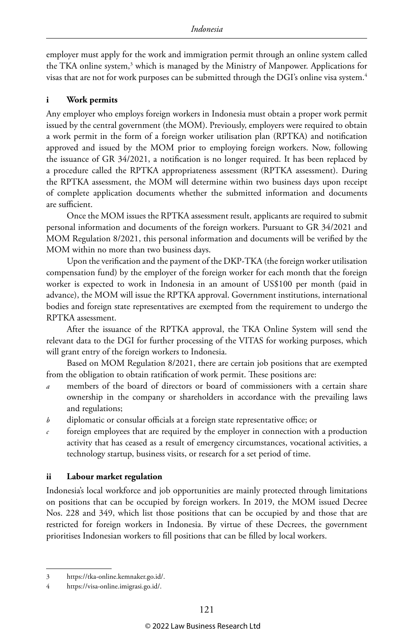employer must apply for the work and immigration permit through an online system called the TKA online system,<sup>3</sup> which is managed by the Ministry of Manpower. Applications for visas that are not for work purposes can be submitted through the DGI's online visa system.4

#### **i Work permits**

Any employer who employs foreign workers in Indonesia must obtain a proper work permit issued by the central government (the MOM). Previously, employers were required to obtain a work permit in the form of a foreign worker utilisation plan (RPTKA) and notification approved and issued by the MOM prior to employing foreign workers. Now, following the issuance of GR 34/2021, a notification is no longer required. It has been replaced by a procedure called the RPTKA appropriateness assessment (RPTKA assessment). During the RPTKA assessment, the MOM will determine within two business days upon receipt of complete application documents whether the submitted information and documents are sufficient.

Once the MOM issues the RPTKA assessment result, applicants are required to submit personal information and documents of the foreign workers. Pursuant to GR 34/2021 and MOM Regulation 8/2021, this personal information and documents will be verified by the MOM within no more than two business days.

Upon the verification and the payment of the DKP-TKA (the foreign worker utilisation compensation fund) by the employer of the foreign worker for each month that the foreign worker is expected to work in Indonesia in an amount of US\$100 per month (paid in advance), the MOM will issue the RPTKA approval. Government institutions, international bodies and foreign state representatives are exempted from the requirement to undergo the RPTKA assessment.

After the issuance of the RPTKA approval, the TKA Online System will send the relevant data to the DGI for further processing of the VITAS for working purposes, which will grant entry of the foreign workers to Indonesia.

Based on MOM Regulation 8/2021, there are certain job positions that are exempted from the obligation to obtain ratification of work permit. These positions are:

- members of the board of directors or board of commissioners with a certain share ownership in the company or shareholders in accordance with the prevailing laws and regulations;
- *b* diplomatic or consular officials at a foreign state representative office; or
- *c* foreign employees that are required by the employer in connection with a production activity that has ceased as a result of emergency circumstances, vocational activities, a technology startup, business visits, or research for a set period of time.

#### **ii Labour market regulation**

Indonesia's local workforce and job opportunities are mainly protected through limitations on positions that can be occupied by foreign workers. In 2019, the MOM issued Decree Nos. 228 and 349, which list those positions that can be occupied by and those that are restricted for foreign workers in Indonesia. By virtue of these Decrees, the government prioritises Indonesian workers to fill positions that can be filled by local workers.

<sup>3</sup> https://tka-online.kemnaker.go.id/.

<sup>4</sup> https://visa-online.imigrasi.go.id/.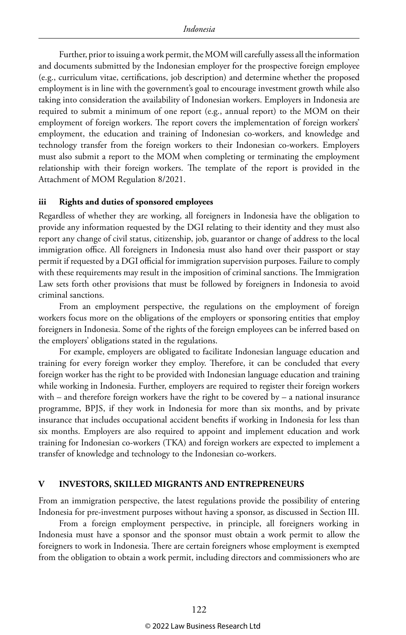Further, prior to issuing a work permit, the MOM will carefully assess all the information and documents submitted by the Indonesian employer for the prospective foreign employee (e.g., curriculum vitae, certifications, job description) and determine whether the proposed employment is in line with the government's goal to encourage investment growth while also taking into consideration the availability of Indonesian workers. Employers in Indonesia are required to submit a minimum of one report (e.g., annual report) to the MOM on their employment of foreign workers. The report covers the implementation of foreign workers' employment, the education and training of Indonesian co-workers, and knowledge and technology transfer from the foreign workers to their Indonesian co-workers. Employers must also submit a report to the MOM when completing or terminating the employment relationship with their foreign workers. The template of the report is provided in the Attachment of MOM Regulation 8/2021.

#### **iii Rights and duties of sponsored employees**

Regardless of whether they are working, all foreigners in Indonesia have the obligation to provide any information requested by the DGI relating to their identity and they must also report any change of civil status, citizenship, job, guarantor or change of address to the local immigration office. All foreigners in Indonesia must also hand over their passport or stay permit if requested by a DGI official for immigration supervision purposes. Failure to comply with these requirements may result in the imposition of criminal sanctions. The Immigration Law sets forth other provisions that must be followed by foreigners in Indonesia to avoid criminal sanctions.

From an employment perspective, the regulations on the employment of foreign workers focus more on the obligations of the employers or sponsoring entities that employ foreigners in Indonesia. Some of the rights of the foreign employees can be inferred based on the employers' obligations stated in the regulations.

For example, employers are obligated to facilitate Indonesian language education and training for every foreign worker they employ. Therefore, it can be concluded that every foreign worker has the right to be provided with Indonesian language education and training while working in Indonesia. Further, employers are required to register their foreign workers with – and therefore foreign workers have the right to be covered by – a national insurance programme, BPJS, if they work in Indonesia for more than six months, and by private insurance that includes occupational accident benefits if working in Indonesia for less than six months. Employers are also required to appoint and implement education and work training for Indonesian co-workers (TKA) and foreign workers are expected to implement a transfer of knowledge and technology to the Indonesian co-workers.

#### **V INVESTORS, SKILLED MIGRANTS AND ENTREPRENEURS**

From an immigration perspective, the latest regulations provide the possibility of entering Indonesia for pre-investment purposes without having a sponsor, as discussed in Section III.

From a foreign employment perspective, in principle, all foreigners working in Indonesia must have a sponsor and the sponsor must obtain a work permit to allow the foreigners to work in Indonesia. There are certain foreigners whose employment is exempted from the obligation to obtain a work permit, including directors and commissioners who are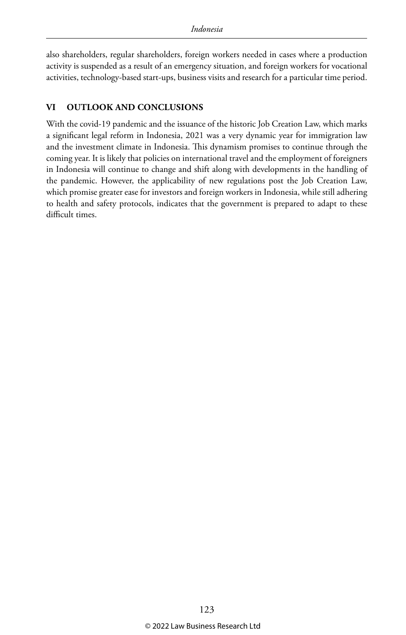also shareholders, regular shareholders, foreign workers needed in cases where a production activity is suspended as a result of an emergency situation, and foreign workers for vocational activities, technology-based start-ups, business visits and research for a particular time period.

#### **VI OUTLOOK AND CONCLUSIONS**

With the covid-19 pandemic and the issuance of the historic Job Creation Law, which marks a significant legal reform in Indonesia, 2021 was a very dynamic year for immigration law and the investment climate in Indonesia. This dynamism promises to continue through the coming year. It is likely that policies on international travel and the employment of foreigners in Indonesia will continue to change and shift along with developments in the handling of the pandemic. However, the applicability of new regulations post the Job Creation Law, which promise greater ease for investors and foreign workers in Indonesia, while still adhering to health and safety protocols, indicates that the government is prepared to adapt to these difficult times.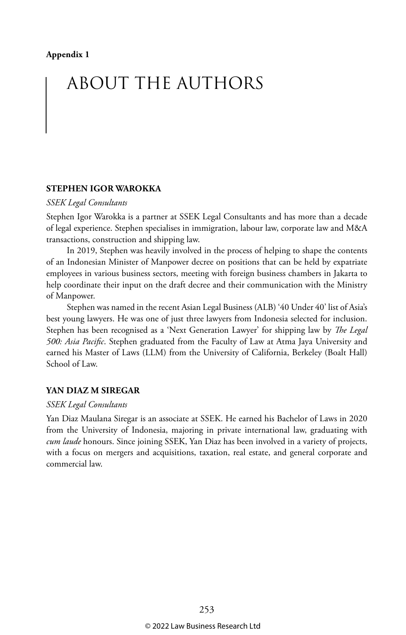### ABOUT THE AUTHORS

#### **STEPHEN IGOR WAROKKA**

#### *SSEK Legal Consultants*

Stephen Igor Warokka is a partner at SSEK Legal Consultants and has more than a decade of legal experience. Stephen specialises in immigration, labour law, corporate law and M&A transactions, construction and shipping law.

In 2019, Stephen was heavily involved in the process of helping to shape the contents of an Indonesian Minister of Manpower decree on positions that can be held by expatriate employees in various business sectors, meeting with foreign business chambers in Jakarta to help coordinate their input on the draft decree and their communication with the Ministry of Manpower.

Stephen was named in the recent Asian Legal Business (ALB) '40 Under 40' list of Asia's best young lawyers. He was one of just three lawyers from Indonesia selected for inclusion. Stephen has been recognised as a 'Next Generation Lawyer' for shipping law by *The Legal 500: Asia Pacific*. Stephen graduated from the Faculty of Law at Atma Jaya University and earned his Master of Laws (LLM) from the University of California, Berkeley (Boalt Hall) School of Law.

#### **YAN DIAZ M SIREGAR**

#### *SSEK Legal Consultants*

Yan Diaz Maulana Siregar is an associate at SSEK. He earned his Bachelor of Laws in 2020 from the University of Indonesia, majoring in private international law, graduating with *cum laude* honours. Since joining SSEK, Yan Diaz has been involved in a variety of projects, with a focus on mergers and acquisitions, taxation, real estate, and general corporate and commercial law.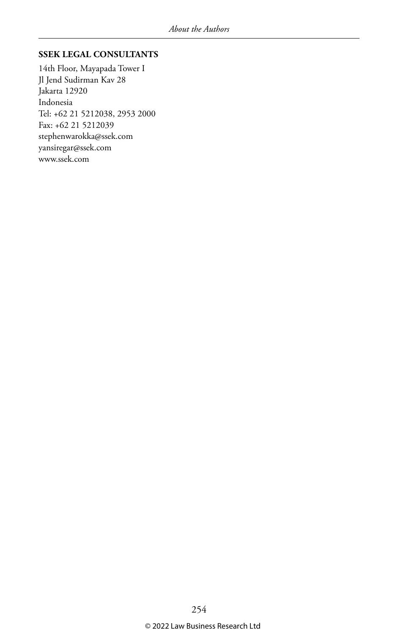#### **SSEK LEGAL CONSULTANTS**

14th Floor, Mayapada Tower I Jl Jend Sudirman Kav 28 Jakarta 12920 Indonesia Tel: +62 21 5212038, 2953 2000 Fax: +62 21 5212039 stephenwarokka@ssek.com yansiregar@ssek.com www.ssek.com